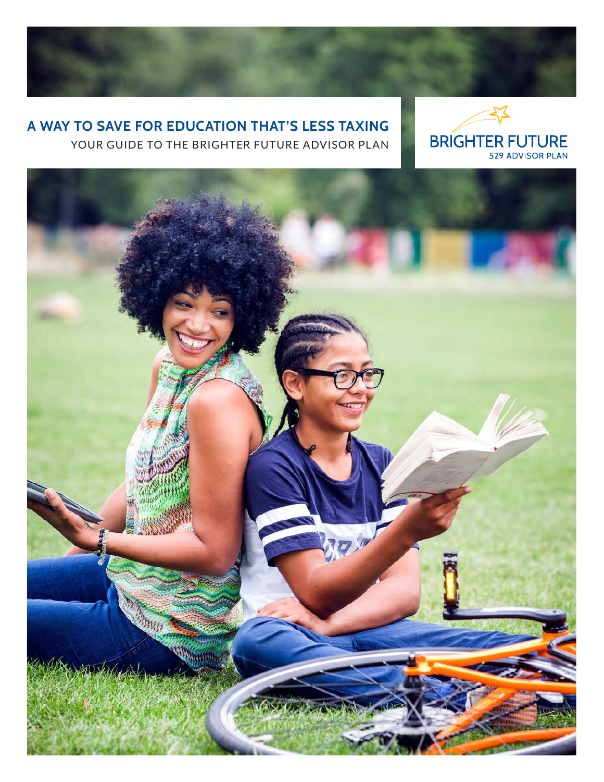

# A WAY TO SAVE FOR EDUCATION THAT'S LESS TAXING YOUR GUIDE TO THE BRIGHTER FUTURE ADVISOR PLAN



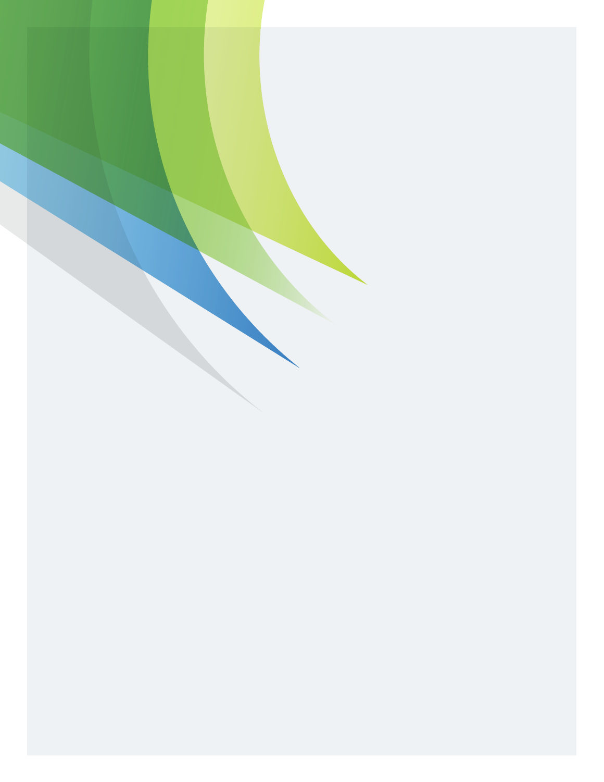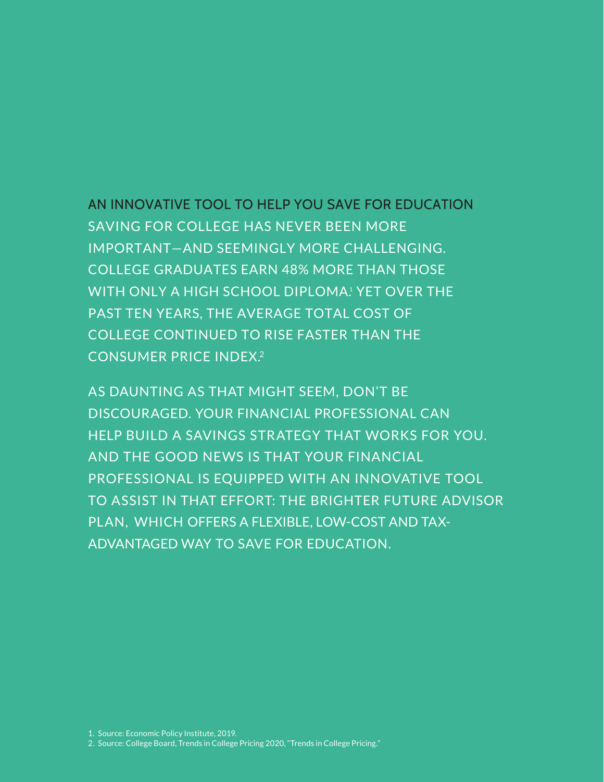AN INNOVATIVE TOOL TO HELP YOU SAVE FOR EDUCATION SAVING FOR COLLEGE HAS NEVER BEEN MORE IMPORTANT—AND SEEMINGLY MORE CHALLENGING. COLLEGE GRADUATES EARN 48% MORE THAN THOSE WITH ONLY A HIGH SCHOOL DIPLOMA! YET OVER THE PAST TEN YEARS, THE AVERAGE TOTAL COST OF COLLEGE CONTINUED TO RISE FASTER THAN THE CONSUMER PRICE INDEX.2

AS DAUNTING AS THAT MIGHT SEEM, DON'T BE DISCOURAGED. YOUR FINANCIAL PROFESSIONAL CAN HELP BUILD A SAVINGS STRATEGY THAT WORKS FOR YOU. AND THE GOOD NEWS IS THAT YOUR FINANCIAL PROFESSIONAL IS EQUIPPED WITH AN INNOVATIVE TOOL TO ASSIST IN THAT EFFORT: THE BRIGHTER FUTURE ADVISOR PLAN, WHICH OFFERS A FLEXIBLE, LOW-COST AND TAX-ADVANTAGED WAY TO SAVE FOR EDUCATION.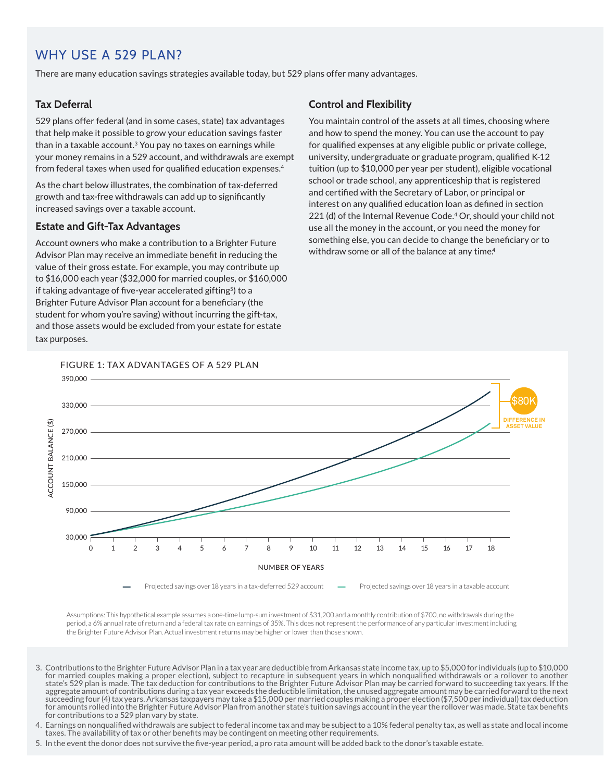# WHY USE A 529 PLAN?

There are many education savings strategies available today, but 529 plans offer many advantages.

#### Tax Deferral

529 plans offer federal (and in some cases, state) tax advantages that help make it possible to grow your education savings faster than in a taxable account. $3$  You pay no taxes on earnings while your money remains in a 529 account, and withdrawals are exempt from federal taxes when used for qualified education expenses.<sup>4</sup>

As the chart below illustrates, the combination of tax-deferred growth and tax-free withdrawals can add up to significantly increased savings over a taxable account.

#### Estate and Gift-Tax Advantages

Account owners who make a contribution to a Brighter Future Advisor Plan may receive an immediate benefit in reducing the value of their gross estate. For example, you may contribute up to \$16,000 each year (\$32,000 for married couples, or \$160,000 if taking advantage of five-year accelerated gifting<sup>5</sup>) to a Brighter Future Advisor Plan account for a beneficiary (the student for whom you're saving) without incurring the gift-tax, and those assets would be excluded from your estate for estate tax purposes.

### Control and Flexibility

You maintain control of the assets at all times, choosing where and how to spend the money. You can use the account to pay for qualified expenses at any eligible public or private college, university, undergraduate or graduate program, qualified K-12 tuition (up to \$10,000 per year per student), eligible vocational school or trade school, any apprenticeship that is registered and certified with the Secretary of Labor, or principal or interest on any qualified education loan as defined in section 221 (d) of the Internal Revenue Code.<sup>4</sup> Or, should your child not use all the money in the account, or you need the money for something else, you can decide to change the beneficiary or to withdraw some or all of the balance at any time.<sup>4</sup>



Assumptions: This hypothetical example assumes a one-time lump-sum investment of \$31,200 and a monthly contribution of \$700, no withdrawals during the period, a 6% annual rate of return and a federal tax rate on earnings of 35%. This does not represent the performance of any particular investment including the Brighter Future Advisor Plan. Actual investment returns may be higher or lower than those shown.

- 3. Contributions to the Brighter Future Advisor Plan in a tax year are deductible from Arkansas state income tax, up to \$5,000 for individuals (up to \$10,000 for married couples making a proper election), subject to recapture in subsequent years in which nonqualified withdrawals or a rollover to another state's 529 plan is made. The tax deduction for contributions to the Brighter Future Advisor Plan may be carried forward to succeeding tax years. If the aggregate amount of contributions during a tax year exceeds the deductible limitation, the unused aggregate amount may be carried forward to the next succeeding four (4) tax years. Arkansas taxpayers may take a \$15,000 per married couples making a proper election (\$7,500 per individual) tax deduction for amounts rolled into the Brighter Future Advisor Plan from another state's tuition savings account in the year the rollover was made. State tax benefits for contributions to a 529 plan vary by state.
- 4. Earnings on nonqualified withdrawals are subject to federal income tax and may be subject to a 10% federal penalty tax, as well as state and local income taxes. The availability of tax or other benefits may be contingent on meeting other requirements.
- 5. In the event the donor does not survive the five-year period, a pro rata amount will be added back to the donor's taxable estate.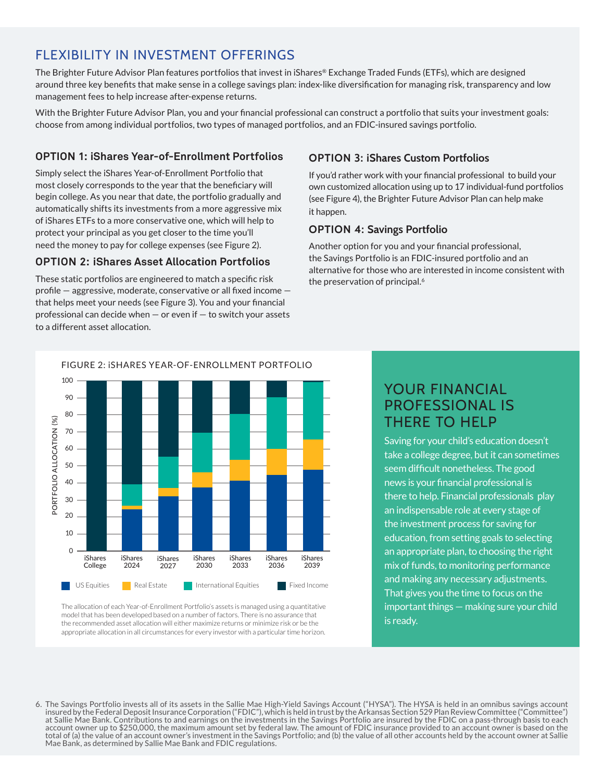# FLEXIBILITY IN INVESTMENT OFFERINGS

The Brighter Future Advisor Plan features portfolios that invest in iShares® Exchange Traded Funds (ETFs), which are designed around three key benefits that make sense in a college savings plan: index-like diversification for managing risk, transparency and low management fees to help increase after-expense returns.

With the Brighter Future Advisor Plan, you and your financial professional can construct a portfolio that suits your investment goals: choose from among individual portfolios, two types of managed portfolios, and an FDIC-insured savings portfolio.

#### **OPTION 1: iShares Year-of-Enrollment Portfolios**

Simply select the iShares Year-of-Enrollment Portfolio that most closely corresponds to the year that the beneficiary will begin college. As you near that date, the portfolio gradually and automatically shifts its investments from a more aggressive mix of iShares ETFs to a more conservative one, which will help to protect your principal as you get closer to the time you'll need the money to pay for college expenses (see Figure 2).

#### **OPTION 2: iShares Asset Allocation Portfolios**

These static portfolios are engineered to match a specific risk profile — aggressive, moderate, conservative or all fixed income that helps meet your needs (see Figure 3). You and your financial professional can decide when — or even if — to switch your assets to a different asset allocation.

#### OPTION 3: iShares Custom Portfolios

If you'd rather work with your financial professional to build your own customized allocation using up to 17 individual-fund portfolios (see Figure 4), the Brighter Future Advisor Plan can help make it happen.

#### OPTION 4: Savings Portfolio

Another option for you and your financial professional, the Savings Portfolio is an FDIC-insured portfolio and an alternative for those who are interested in income consistent with the preservation of principal.<sup>6</sup>



The allocation of each Year-of-Enrollment Portfolio's assets is managed using a quantitative model that has been developed based on a number of factors. There is no assurance that the recommended asset allocation will either maximize returns or minimize risk or be the appropriate allocation in all circumstances for every investor with a particular time horizon.

# YOUR FINANCIAL PROFESSIONAL IS THERE TO HELP

Saving for your child's education doesn't take a college degree, but it can sometimes seem difficult nonetheless. The good news is your financial professional is there to help. Financial professionals play an indispensable role at every stage of the investment process for saving for education, from setting goals to selecting an appropriate plan, to choosing the right mix of funds, to monitoring performance and making any necessary adjustments. That gives you the time to focus on the important things — making sure your child is ready.

#### FIGURE 2: iSHARES YEAR-OF-ENROLLMENT PORTFOLIO

<sup>6.</sup> The Savings Portfolio invests all of its assets in the Sallie Mae High-Yield Savings Account ("HYSA"). The HYSA is held in an omnibus savings account insured by the Federal Deposit Insurance Corporation ("FDIC"), which is held in trust by the Arkansas Section 529 Plan Review Committee ("Committee") at Sallie Mae Bank. Contributions to and earnings on the investments in the Savings Portfolio are insured by the FDIC on a pass-through basis to each account owner up to \$250,000, the maximum amount set by federal law. The amount of FDIC insurance provided to an account owner is based on the total of (a) the value of an account owner's investment in the Savings Portfolio; and (b) the value of all other accounts held by the account owner at Sallie Mae Bank, as determined by Sallie Mae Bank and FDIC regulations.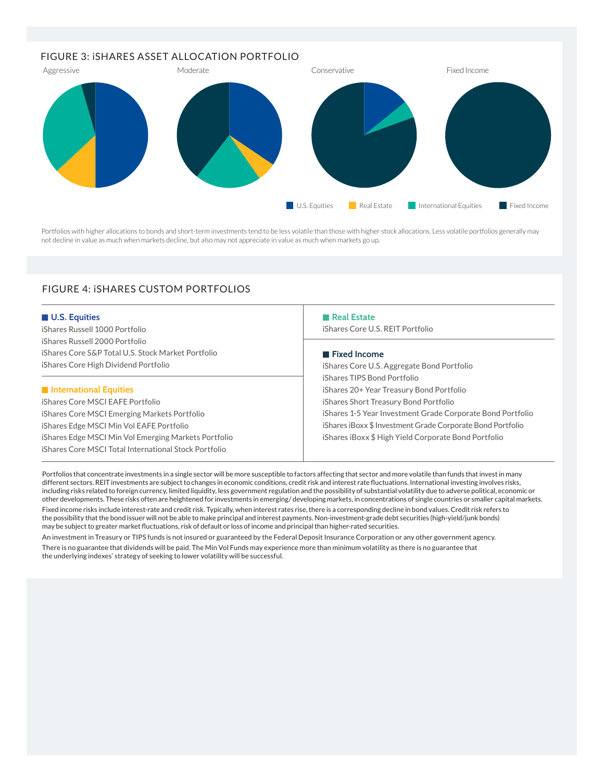#### FIGURE 3: iSHARES ASSET ALLOCATION PORTFOLIO



Portfolios with higher allocations to bonds and short-term investments tend to be less volatile than those with higher stock allocations. Less volatile portfolios generally may not decline in value as much when markets decline, but also may not appreciate in value as much when markets go up.

#### FIGURE 4: iSHARES CUSTOM PORTFOLIOS

| <b>U.S. Equities</b><br>iShares Russell 1000 Portfolio<br>iShares Russell 2000 Portfolio | Real Estate<br>iShares Core U.S. REIT Portfolio                           |
|------------------------------------------------------------------------------------------|---------------------------------------------------------------------------|
| iShares Core S&P Total U.S. Stock Market Portfolio                                       | <b>E</b> Fixed Income                                                     |
| iShares Core High Dividend Portfolio                                                     | iShares Core U.S. Aggregate Bond Portfolio<br>iShares TIPS Bond Portfolio |
| International Equities                                                                   | iShares 20+ Year Treasury Bond Portfolio                                  |
| iShares Core MSCI EAFE Portfolio                                                         | iShares Short Treasury Bond Portfolio                                     |
| iShares Core MSCI Emerging Markets Portfolio                                             | iShares 1-5 Year Investment Grade Corporate Bond Portfolio                |
| iShares Edge MSCI Min Vol EAFE Portfolio                                                 | iShares iBoxx \$ Investment Grade Corporate Bond Portfolio                |
| iShares Edge MSCI Min Vol Emerging Markets Portfolio                                     | iShares iBoxx \$ High Yield Corporate Bond Portfolio                      |
| iShares Core MSCI Total International Stock Portfolio                                    |                                                                           |

Portfolios that concentrate investments in a single sector will be more susceptible to factors affecting that sector and more volatile than funds that invest in many different sectors. REIT investments are subject to changes in economic conditions, credit risk and interest rate fluctuations. International investing involves risks, including risks related to foreign currency, limited liquidity, less government regulation and the possibility of substantial volatility due to adverse political, economic or other developments. These risks often are heightened for investments in emerging/ developing markets, in concentrations of single countries or smaller capital markets.

Fixed income risks include interest-rate and credit risk. Typically, when interest rates rise, there is a corresponding decline in bond values. Credit risk refers to the possibility that the bond issuer will not be able to make principal and interest payments. Non-investment-grade debt securities (high-yield/junk bonds) may be subject to greater market fluctuations, risk of default or loss of income and principal than higher-rated securities.

An investment in Treasury or TIPS funds is not insured or guaranteed by the Federal Deposit Insurance Corporation or any other government agency. There is no guarantee that dividends will be paid. The Min Vol Funds may experience more than minimum volatility as there is no guarantee that the underlying indexes' strategy of seeking to lower volatility will be successful.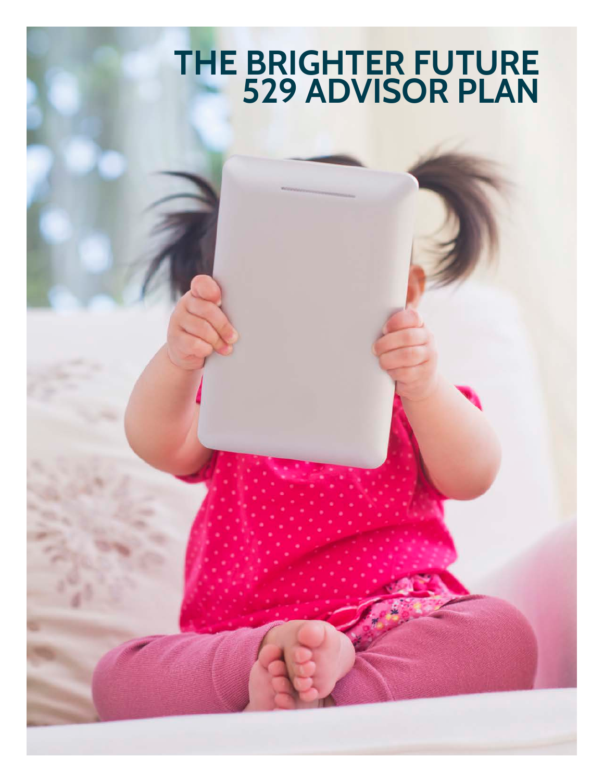# THE BRIGHTER FUTURE 529 ADVISOR PLAN